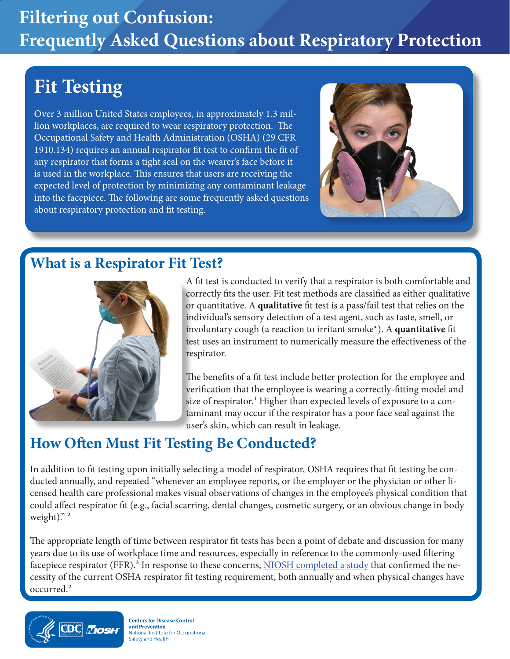# **Filtering out Confusion: Frequently Asked Questions about Respiratory Protection**

## **Fit Testing**

Over 3 million United States employees, in approximately 1.3 million workplaces, are required to wear respiratory protection. The Occupational Safety and Health Administration (OSHA) (29 CFR 1910.134) requires an annual respirator fit test to confirm the fit of any respirator that forms a tight seal on the wearer's face before it is used in the workplace. This ensures that users are receiving the expected level of protection by minimizing any contaminant leakage into the facepiece. The following are some frequently asked questions about respiratory protection and fit testing.



#### **What is a Respirator Fit Test?**



A fit test is conducted to verify that a respirator is both comfortable and correctly fits the user. Fit test methods are classified as either qualitative or quantitative. A **qualitative** fit test is a pass/fail test that relies on the individual's sensory detection of a test agent, such as taste, smell, or involuntary cough (a reaction to irritant smoke\*). A **quantitative** fit test uses an instrument to numerically measure the effectiveness of the respirator.

The benefits of a fit test include better protection for the employee and verification that the employee is wearing a correctly-fitting model and size of respirator.<sup>1</sup> Higher than expected levels of exposure to a contaminant may occur if the respirator has a poor face seal against the user's skin, which can result in leakage.

#### **How Often Must Fit Testing Be Conducted?**

In addition to fit testing upon initially selecting a model of respirator, OSHA requires that fit testing be conducted annually, and repeated "whenever an employee reports, or the employer or the physician or other licensed health care professional makes visual observations of changes in the employee's physical condition that could affect respirator fit (e.g., facial scarring, dental changes, cosmetic surgery, or an obvious change in body weight)."<sup>2</sup>

The appropriate length of time between respirator fit tests has been a point of debate and discussion for many years due to its use of workplace time and resources, especially in reference to the commonly-used filtering facepiece respirator (FFR).<sup>3</sup> In response to these concerns, [NIOSH completed a study](http://blogs.cdc.gov/niosh-science-blog/2016/01/05/fit-testing/) that confirmed the necessity of the current OSHA respirator fit testing requirement, both annually and when physical changes have occurred.2



**Centers for Disease Control** and Prevention National Institute for Occupational Safety and Health